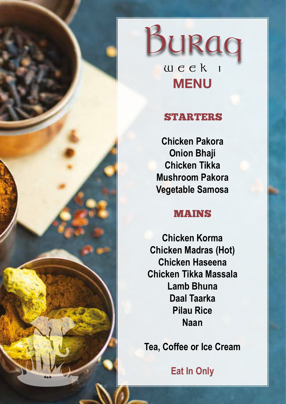



# STARTERS

**Chicken Pakora Onion Bhaji Chicken Tikka Mushroom Pakora Vegetable Samosa**

#### MAINS

**Chicken Korma Chicken Madras (Hot) Chicken Haseena Chicken Tikka Massala Lamb Bhuna Daal Taarka Pilau Rice Naan**

**Tea, Coffee or Ice Cream**

**Eat In Only**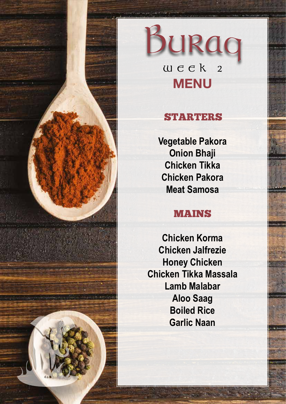

# Burag **WEEK 2 MENU**

# STARTERS

**Vegetable Pakora Onion Bhaji Chicken Tikka Chicken Pakora Meat Samosa**

### MAINS

**Chicken Korma Chicken Jalfrezie Honey Chicken Chicken Tikka Massala Lamb Malabar Aloo Saag Boiled Rice Garlic Naan**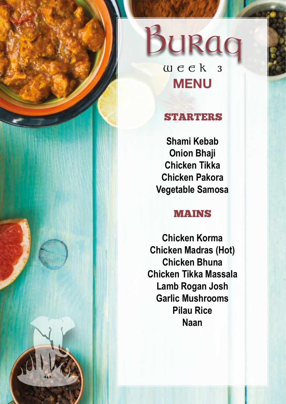

**WEEK 3 MENU**

# STARTERS

**Shami Kebab Onion Bhaji Chicken Tikka Chicken Pakora Vegetable Samosa**

#### MAINS

**Chicken Korma Chicken Madras (Hot) Chicken Bhuna Chicken Tikka Massala Lamb Rogan Josh Garlic Mushrooms Pilau Rice Naan**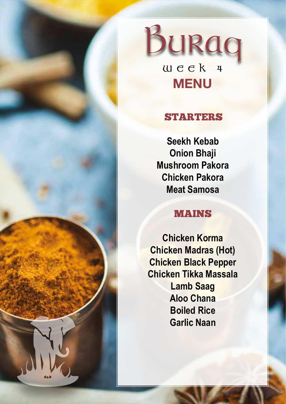



STARTERS

**Seekh Kebab Onion Bhaji Mushroom Pakora Chicken Pakora Meat Samosa**

#### MAINS

**Chicken Korma Chicken Madras (Hot) Chicken Black Pepper Chicken Tikka Massala Lamb Saag Aloo Chana Boiled Rice Garlic Naan**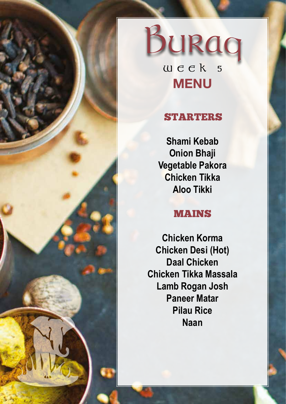

# BURAO **WEEK 5 MENU**

# STARTERS

**Shami Kebab Onion Bhaji Vegetable Pakora Chicken Tikka Aloo Tikki**

#### MAINS

**Chicken Korma Chicken Desi (Hot) Daal Chicken Chicken Tikka Massala Lamb Rogan Josh Paneer Matar Pilau Rice Naan**